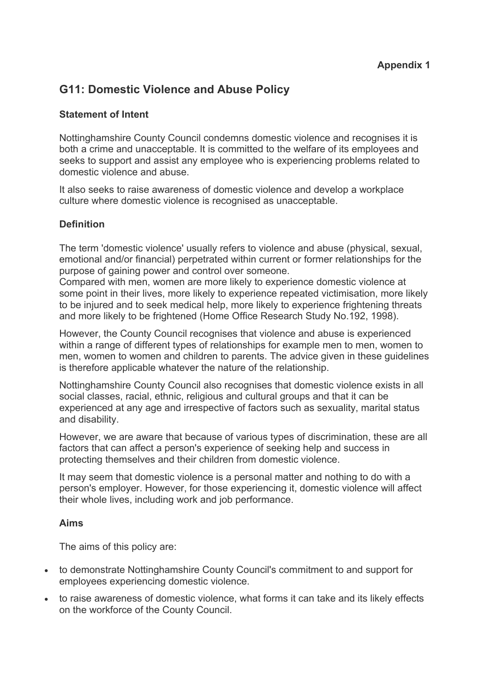# **G11: Domestic Violence and Abuse Policy**

# **Statement of Intent**

Nottinghamshire County Council condemns domestic violence and recognises it is both a crime and unacceptable. It is committed to the welfare of its employees and seeks to support and assist any employee who is experiencing problems related to domestic violence and abuse.

It also seeks to raise awareness of domestic violence and develop a workplace culture where domestic violence is recognised as unacceptable.

## **Definition**

The term 'domestic violence' usually refers to violence and abuse (physical, sexual, emotional and/or financial) perpetrated within current or former relationships for the purpose of gaining power and control over someone.

Compared with men, women are more likely to experience domestic violence at some point in their lives, more likely to experience repeated victimisation, more likely to be injured and to seek medical help, more likely to experience frightening threats and more likely to be frightened (Home Office Research Study No.192, 1998).

However, the County Council recognises that violence and abuse is experienced within a range of different types of relationships for example men to men, women to men, women to women and children to parents. The advice given in these guidelines is therefore applicable whatever the nature of the relationship.

Nottinghamshire County Council also recognises that domestic violence exists in all social classes, racial, ethnic, religious and cultural groups and that it can be experienced at any age and irrespective of factors such as sexuality, marital status and disability.

However, we are aware that because of various types of discrimination, these are all factors that can affect a person's experience of seeking help and success in protecting themselves and their children from domestic violence.

It may seem that domestic violence is a personal matter and nothing to do with a person's employer. However, for those experiencing it, domestic violence will affect their whole lives, including work and job performance.

## **Aims**

The aims of this policy are:

- to demonstrate Nottinghamshire County Council's commitment to and support for employees experiencing domestic violence.
- to raise awareness of domestic violence, what forms it can take and its likely effects on the workforce of the County Council.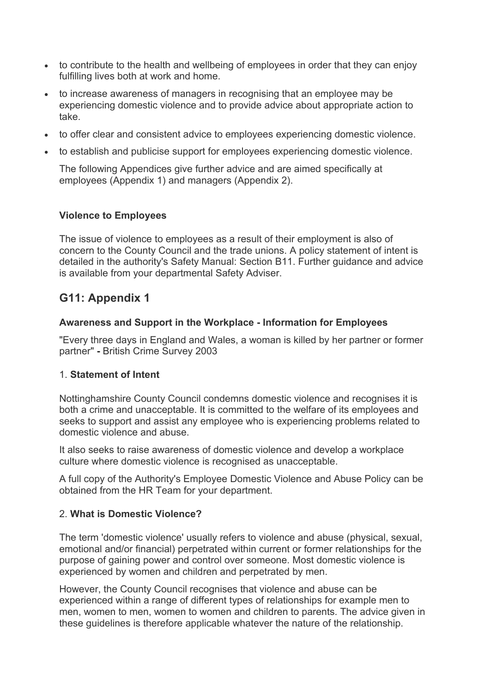- to contribute to the health and wellbeing of employees in order that they can enjoy fulfilling lives both at work and home.
- to increase awareness of managers in recognising that an employee may be experiencing domestic violence and to provide advice about appropriate action to take.
- to offer clear and consistent advice to employees experiencing domestic violence.
- to establish and publicise support for employees experiencing domestic violence.

The following Appendices give further advice and are aimed specifically at employees (Appendix 1) and managers (Appendix 2).

## **Violence to Employees**

The issue of violence to employees as a result of their employment is also of concern to the County Council and the trade unions. A policy statement of intent is detailed in the authority's Safety Manual: Section B11. Further guidance and advice is available from your departmental Safety Adviser.

# **G11: Appendix 1**

## **Awareness and Support in the Workplace - Information for Employees**

"Every three days in England and Wales, a woman is killed by her partner or former partner" **-** British Crime Survey 2003

## 1. **Statement of Intent**

Nottinghamshire County Council condemns domestic violence and recognises it is both a crime and unacceptable. It is committed to the welfare of its employees and seeks to support and assist any employee who is experiencing problems related to domestic violence and abuse.

It also seeks to raise awareness of domestic violence and develop a workplace culture where domestic violence is recognised as unacceptable.

A full copy of the Authority's Employee Domestic Violence and Abuse Policy can be obtained from the HR Team for your department.

## 2. **What is Domestic Violence?**

The term 'domestic violence' usually refers to violence and abuse (physical, sexual, emotional and/or financial) perpetrated within current or former relationships for the purpose of gaining power and control over someone. Most domestic violence is experienced by women and children and perpetrated by men.

However, the County Council recognises that violence and abuse can be experienced within a range of different types of relationships for example men to men, women to men, women to women and children to parents. The advice given in these guidelines is therefore applicable whatever the nature of the relationship.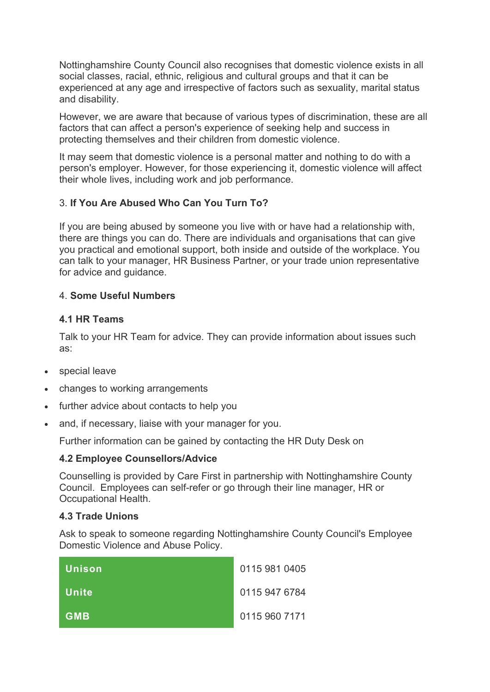Nottinghamshire County Council also recognises that domestic violence exists in all social classes, racial, ethnic, religious and cultural groups and that it can be experienced at any age and irrespective of factors such as sexuality, marital status and disability.

However, we are aware that because of various types of discrimination, these are all factors that can affect a person's experience of seeking help and success in protecting themselves and their children from domestic violence.

It may seem that domestic violence is a personal matter and nothing to do with a person's employer. However, for those experiencing it, domestic violence will affect their whole lives, including work and job performance.

# 3. **If You Are Abused Who Can You Turn To?**

If you are being abused by someone you live with or have had a relationship with, there are things you can do. There are individuals and organisations that can give you practical and emotional support, both inside and outside of the workplace. You can talk to your manager, HR Business Partner, or your trade union representative for advice and guidance.

# 4. **Some Useful Numbers**

# **4.1 HR Teams**

Talk to your HR Team for advice. They can provide information about issues such as:

- special leave
- changes to working arrangements
- further advice about contacts to help you
- and, if necessary, liaise with your manager for you.

Further information can be gained by contacting the HR Duty Desk on

# **4.2 Employee Counsellors/Advice**

Counselling is provided by Care First in partnership with Nottinghamshire County Council. Employees can self-refer or go through their line manager, HR or Occupational Health.

# **4.3 Trade Unions**

Ask to speak to someone regarding Nottinghamshire County Council's Employee Domestic Violence and Abuse Policy.

| Unison     | 0115 981 0405 |
|------------|---------------|
| Unite      | 0115 947 6784 |
| <b>GMB</b> | 0115 960 7171 |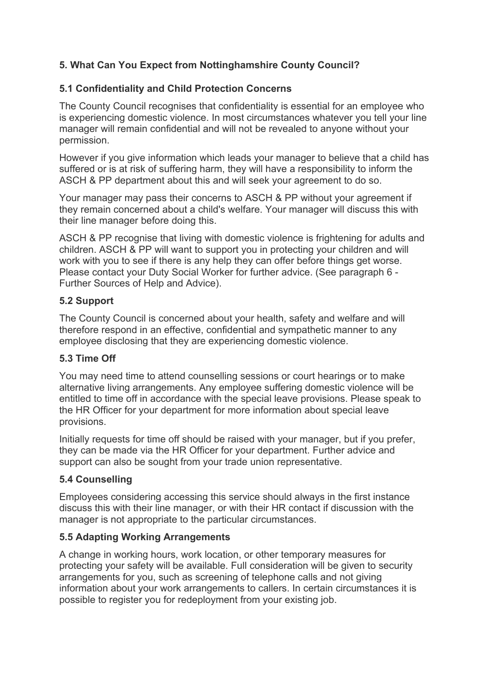# **5. What Can You Expect from Nottinghamshire County Council?**

# **5.1 Confidentiality and Child Protection Concerns**

The County Council recognises that confidentiality is essential for an employee who is experiencing domestic violence. In most circumstances whatever you tell your line manager will remain confidential and will not be revealed to anyone without your permission.

However if you give information which leads your manager to believe that a child has suffered or is at risk of suffering harm, they will have a responsibility to inform the ASCH & PP department about this and will seek your agreement to do so.

Your manager may pass their concerns to ASCH & PP without your agreement if they remain concerned about a child's welfare. Your manager will discuss this with their line manager before doing this.

ASCH & PP recognise that living with domestic violence is frightening for adults and children. ASCH & PP will want to support you in protecting your children and will work with you to see if there is any help they can offer before things get worse. Please contact your Duty Social Worker for further advice. (See paragraph 6 - Further Sources of Help and Advice).

# **5.2 Support**

The County Council is concerned about your health, safety and welfare and will therefore respond in an effective, confidential and sympathetic manner to any employee disclosing that they are experiencing domestic violence.

# **5.3 Time Off**

You may need time to attend counselling sessions or court hearings or to make alternative living arrangements. Any employee suffering domestic violence will be entitled to time off in accordance with the special leave provisions. Please speak to the HR Officer for your department for more information about special leave provisions.

Initially requests for time off should be raised with your manager, but if you prefer, they can be made via the HR Officer for your department. Further advice and support can also be sought from your trade union representative.

# **5.4 Counselling**

Employees considering accessing this service should always in the first instance discuss this with their line manager, or with their HR contact if discussion with the manager is not appropriate to the particular circumstances.

# **5.5 Adapting Working Arrangements**

A change in working hours, work location, or other temporary measures for protecting your safety will be available. Full consideration will be given to security arrangements for you, such as screening of telephone calls and not giving information about your work arrangements to callers. In certain circumstances it is possible to register you for redeployment from your existing job.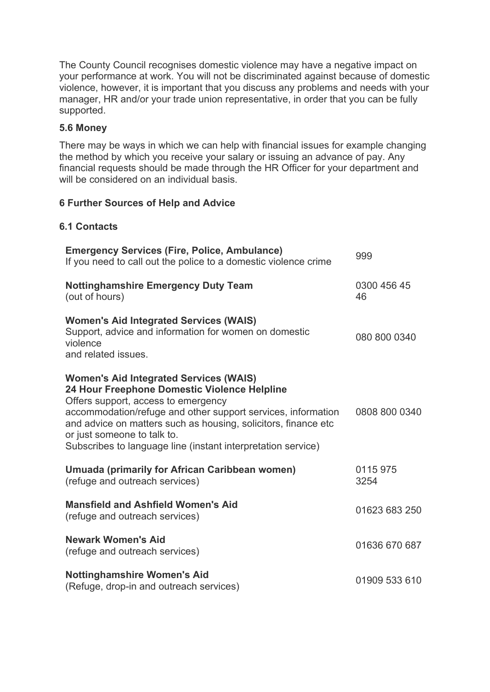The County Council recognises domestic violence may have a negative impact on your performance at work. You will not be discriminated against because of domestic violence, however, it is important that you discuss any problems and needs with your manager, HR and/or your trade union representative, in order that you can be fully supported.

# **5.6 Money**

There may be ways in which we can help with financial issues for example changing the method by which you receive your salary or issuing an advance of pay. Any financial requests should be made through the HR Officer for your department and will be considered on an individual basis.

# **6 Further Sources of Help and Advice**

# **6.1 Contacts**

| <b>Emergency Services (Fire, Police, Ambulance)</b><br>If you need to call out the police to a domestic violence crime                                                                                                                                                                                                                                                | 999               |
|-----------------------------------------------------------------------------------------------------------------------------------------------------------------------------------------------------------------------------------------------------------------------------------------------------------------------------------------------------------------------|-------------------|
| <b>Nottinghamshire Emergency Duty Team</b><br>(out of hours)                                                                                                                                                                                                                                                                                                          | 0300 456 45<br>46 |
| <b>Women's Aid Integrated Services (WAIS)</b><br>Support, advice and information for women on domestic<br>violence<br>and related issues.                                                                                                                                                                                                                             | 080 800 0340      |
| <b>Women's Aid Integrated Services (WAIS)</b><br>24 Hour Freephone Domestic Violence Helpline<br>Offers support, access to emergency<br>accommodation/refuge and other support services, information<br>and advice on matters such as housing, solicitors, finance etc<br>or just someone to talk to.<br>Subscribes to language line (instant interpretation service) | 0808 800 0340     |
| Umuada (primarily for African Caribbean women)<br>(refuge and outreach services)                                                                                                                                                                                                                                                                                      | 0115 975<br>3254  |
| <b>Mansfield and Ashfield Women's Aid</b><br>(refuge and outreach services)                                                                                                                                                                                                                                                                                           | 01623 683 250     |
| <b>Newark Women's Aid</b><br>(refuge and outreach services)                                                                                                                                                                                                                                                                                                           | 01636 670 687     |
| Nottinghamshire Women's Aid<br>(Refuge, drop-in and outreach services)                                                                                                                                                                                                                                                                                                | 01909 533 610     |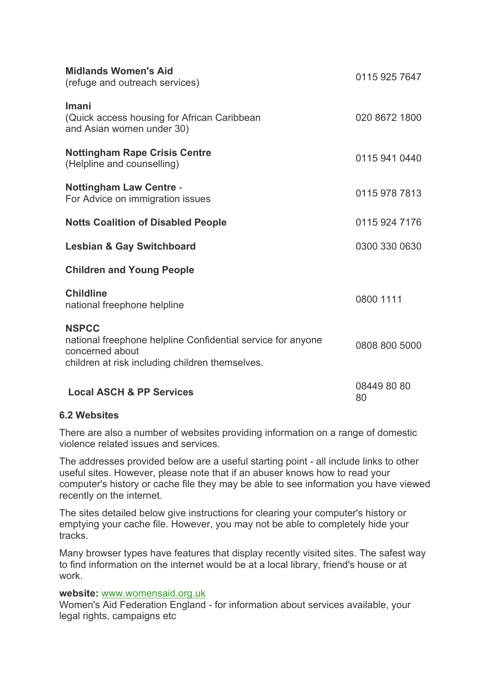| <b>Midlands Women's Aid</b><br>(refuge and outreach services)                                                                                     | 0115 925 7647     |
|---------------------------------------------------------------------------------------------------------------------------------------------------|-------------------|
| Imani<br>(Quick access housing for African Caribbean<br>and Asian women under 30)                                                                 | 020 8672 1800     |
| <b>Nottingham Rape Crisis Centre</b><br>(Helpline and counselling)                                                                                | 0115 941 0440     |
| <b>Nottingham Law Centre -</b><br>For Advice on immigration issues                                                                                | 0115 978 7813     |
| <b>Notts Coalition of Disabled People</b>                                                                                                         | 0115 924 7176     |
| <b>Lesbian &amp; Gay Switchboard</b>                                                                                                              | 0300 330 0630     |
| <b>Children and Young People</b>                                                                                                                  |                   |
| <b>Childline</b><br>national freephone helpline                                                                                                   | 0800 1111         |
| <b>NSPCC</b><br>national freephone helpline Confidential service for anyone<br>concerned about<br>children at risk including children themselves. | 0808 800 5000     |
| <b>Local ASCH &amp; PP Services</b>                                                                                                               | 08449 80 80<br>80 |

# **6.2 Websites**

There are also a number of websites providing information on a range of domestic violence related issues and services.

The addresses provided below are a useful starting point - all include links to other useful sites. However, please note that if an abuser knows how to read your computer's history or cache file they may be able to see information you have viewed recently on the internet.

The sites detailed below give instructions for clearing your computer's history or emptying your cache file. However, you may not be able to completely hide your tracks.

Many browser types have features that display recently visited sites. The safest way to find information on the internet would be at a local library, friend's house or at work.

## **website:** www.womensaid.org.uk

Women's Aid Federation England - for information about services available, your legal rights, campaigns etc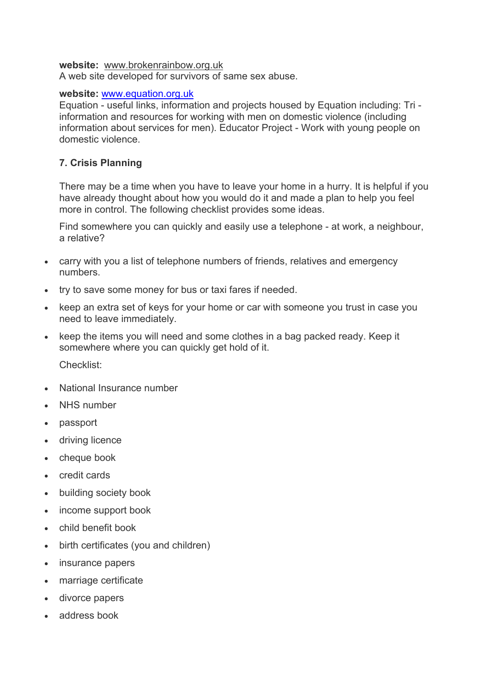#### **website:** www.brokenrainbow.org.uk

A web site developed for survivors of same sex abuse.

#### **website:** www.equation.org.uk

Equation - useful links, information and projects housed by Equation including: Tri information and resources for working with men on domestic violence (including information about services for men). Educator Project - Work with young people on domestic violence.

# **7. Crisis Planning**

There may be a time when you have to leave your home in a hurry. It is helpful if you have already thought about how you would do it and made a plan to help you feel more in control. The following checklist provides some ideas.

Find somewhere you can quickly and easily use a telephone - at work, a neighbour, a relative?

- carry with you a list of telephone numbers of friends, relatives and emergency numbers.
- try to save some money for bus or taxi fares if needed.
- keep an extra set of keys for your home or car with someone you trust in case you need to leave immediately.
- keep the items you will need and some clothes in a bag packed ready. Keep it somewhere where you can quickly get hold of it.

Checklist:

- National Insurance number
- NHS number
- passport
- driving licence
- cheque book
- credit cards
- building society book
- income support book
- child benefit book
- birth certificates (you and children)
- insurance papers
- marriage certificate
- divorce papers
- address book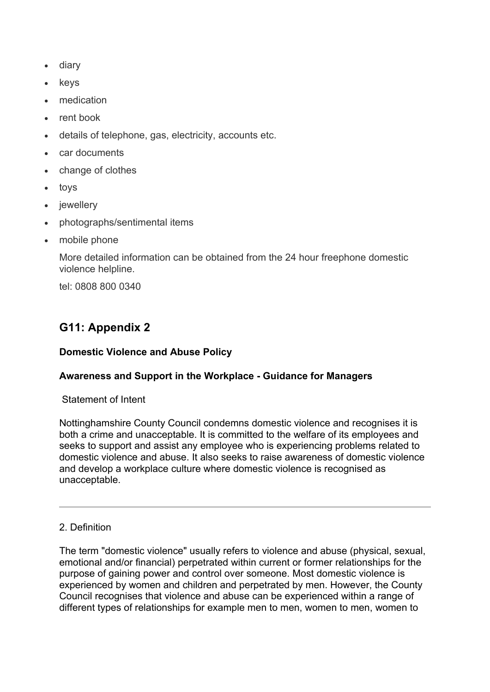- diary
- keys
- medication
- rent book
- details of telephone, gas, electricity, accounts etc.
- car documents
- change of clothes
- toys
- iewellery
- photographs/sentimental items
- mobile phone

More detailed information can be obtained from the 24 hour freephone domestic violence helpline.

tel: 0808 800 0340

# **G11: Appendix 2**

## **Domestic Violence and Abuse Policy**

## **Awareness and Support in the Workplace - Guidance for Managers**

Statement of Intent

Nottinghamshire County Council condemns domestic violence and recognises it is both a crime and unacceptable. It is committed to the welfare of its employees and seeks to support and assist any employee who is experiencing problems related to domestic violence and abuse. It also seeks to raise awareness of domestic violence and develop a workplace culture where domestic violence is recognised as unacceptable.

## 2. Definition

The term "domestic violence" usually refers to violence and abuse (physical, sexual, emotional and/or financial) perpetrated within current or former relationships for the purpose of gaining power and control over someone. Most domestic violence is experienced by women and children and perpetrated by men. However, the County Council recognises that violence and abuse can be experienced within a range of different types of relationships for example men to men, women to men, women to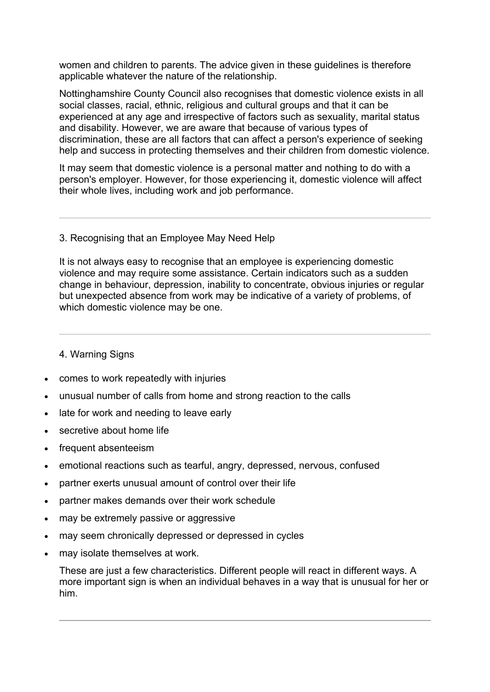women and children to parents. The advice given in these guidelines is therefore applicable whatever the nature of the relationship.

Nottinghamshire County Council also recognises that domestic violence exists in all social classes, racial, ethnic, religious and cultural groups and that it can be experienced at any age and irrespective of factors such as sexuality, marital status and disability. However, we are aware that because of various types of discrimination, these are all factors that can affect a person's experience of seeking help and success in protecting themselves and their children from domestic violence.

It may seem that domestic violence is a personal matter and nothing to do with a person's employer. However, for those experiencing it, domestic violence will affect their whole lives, including work and job performance.

#### 3. Recognising that an Employee May Need Help

It is not always easy to recognise that an employee is experiencing domestic violence and may require some assistance. Certain indicators such as a sudden change in behaviour, depression, inability to concentrate, obvious injuries or regular but unexpected absence from work may be indicative of a variety of problems, of which domestic violence may be one.

## 4. Warning Signs

- comes to work repeatedly with injuries
- unusual number of calls from home and strong reaction to the calls
- late for work and needing to leave early
- secretive about home life
- frequent absenteeism
- emotional reactions such as tearful, angry, depressed, nervous, confused
- partner exerts unusual amount of control over their life
- partner makes demands over their work schedule
- may be extremely passive or aggressive
- may seem chronically depressed or depressed in cycles
- may isolate themselves at work.

These are just a few characteristics. Different people will react in different ways. A more important sign is when an individual behaves in a way that is unusual for her or him.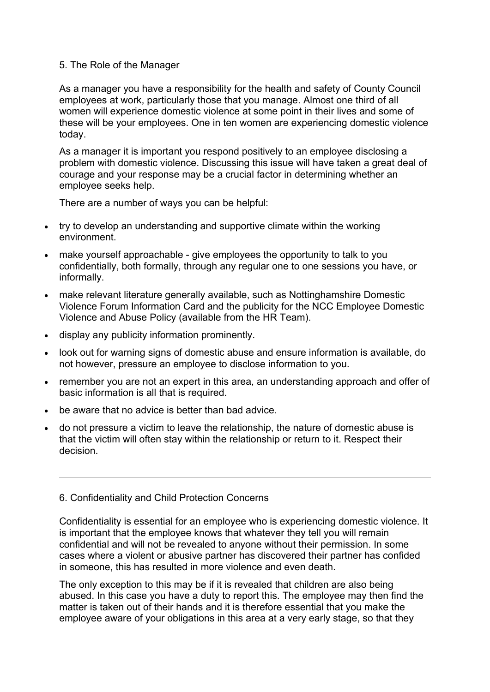### 5. The Role of the Manager

As a manager you have a responsibility for the health and safety of County Council employees at work, particularly those that you manage. Almost one third of all women will experience domestic violence at some point in their lives and some of these will be your employees. One in ten women are experiencing domestic violence today.

As a manager it is important you respond positively to an employee disclosing a problem with domestic violence. Discussing this issue will have taken a great deal of courage and your response may be a crucial factor in determining whether an employee seeks help.

There are a number of ways you can be helpful:

- try to develop an understanding and supportive climate within the working environment.
- make yourself approachable give employees the opportunity to talk to you confidentially, both formally, through any regular one to one sessions you have, or informally.
- make relevant literature generally available, such as Nottinghamshire Domestic Violence Forum Information Card and the publicity for the NCC Employee Domestic Violence and Abuse Policy (available from the HR Team).
- display any publicity information prominently.
- look out for warning signs of domestic abuse and ensure information is available, do not however, pressure an employee to disclose information to you.
- remember you are not an expert in this area, an understanding approach and offer of basic information is all that is required.
- be aware that no advice is better than bad advice.
- do not pressure a victim to leave the relationship, the nature of domestic abuse is that the victim will often stay within the relationship or return to it. Respect their decision.

## 6. Confidentiality and Child Protection Concerns

Confidentiality is essential for an employee who is experiencing domestic violence. It is important that the employee knows that whatever they tell you will remain confidential and will not be revealed to anyone without their permission. In some cases where a violent or abusive partner has discovered their partner has confided in someone, this has resulted in more violence and even death.

The only exception to this may be if it is revealed that children are also being abused. In this case you have a duty to report this. The employee may then find the matter is taken out of their hands and it is therefore essential that you make the employee aware of your obligations in this area at a very early stage, so that they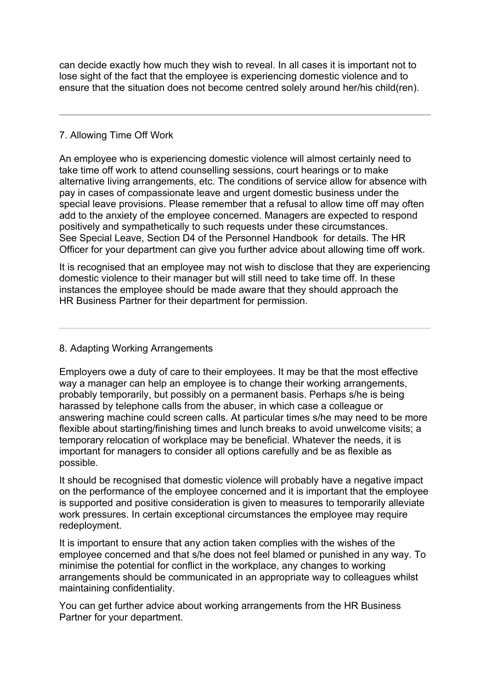can decide exactly how much they wish to reveal. In all cases it is important not to lose sight of the fact that the employee is experiencing domestic violence and to ensure that the situation does not become centred solely around her/his child(ren).

# 7. Allowing Time Off Work

An employee who is experiencing domestic violence will almost certainly need to take time off work to attend counselling sessions, court hearings or to make alternative living arrangements, etc. The conditions of service allow for absence with pay in cases of compassionate leave and urgent domestic business under the special leave provisions. Please remember that a refusal to allow time off may often add to the anxiety of the employee concerned. Managers are expected to respond positively and sympathetically to such requests under these circumstances. See Special Leave, Section D4 of the Personnel Handbook for details. The HR Officer for your department can give you further advice about allowing time off work.

It is recognised that an employee may not wish to disclose that they are experiencing domestic violence to their manager but will still need to take time off. In these instances the employee should be made aware that they should approach the HR Business Partner for their department for permission.

8. Adapting Working Arrangements

Employers owe a duty of care to their employees. It may be that the most effective way a manager can help an employee is to change their working arrangements, probably temporarily, but possibly on a permanent basis. Perhaps s/he is being harassed by telephone calls from the abuser, in which case a colleague or answering machine could screen calls. At particular times s/he may need to be more flexible about starting/finishing times and lunch breaks to avoid unwelcome visits; a temporary relocation of workplace may be beneficial. Whatever the needs, it is important for managers to consider all options carefully and be as flexible as possible.

It should be recognised that domestic violence will probably have a negative impact on the performance of the employee concerned and it is important that the employee is supported and positive consideration is given to measures to temporarily alleviate work pressures. In certain exceptional circumstances the employee may require redeployment.

It is important to ensure that any action taken complies with the wishes of the employee concerned and that s/he does not feel blamed or punished in any way. To minimise the potential for conflict in the workplace, any changes to working arrangements should be communicated in an appropriate way to colleagues whilst maintaining confidentiality.

You can get further advice about working arrangements from the HR Business Partner for your department.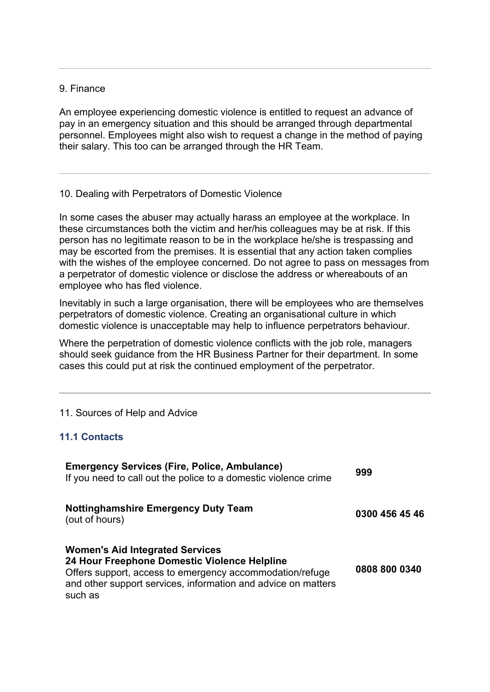#### 9. Finance

An employee experiencing domestic violence is entitled to request an advance of pay in an emergency situation and this should be arranged through departmental personnel. Employees might also wish to request a change in the method of paying their salary. This too can be arranged through the HR Team.

#### 10. Dealing with Perpetrators of Domestic Violence

In some cases the abuser may actually harass an employee at the workplace. In these circumstances both the victim and her/his colleagues may be at risk. If this person has no legitimate reason to be in the workplace he/she is trespassing and may be escorted from the premises. It is essential that any action taken complies with the wishes of the employee concerned. Do not agree to pass on messages from a perpetrator of domestic violence or disclose the address or whereabouts of an employee who has fled violence.

Inevitably in such a large organisation, there will be employees who are themselves perpetrators of domestic violence. Creating an organisational culture in which domestic violence is unacceptable may help to influence perpetrators behaviour.

Where the perpetration of domestic violence conflicts with the job role, managers should seek guidance from the HR Business Partner for their department. In some cases this could put at risk the continued employment of the perpetrator.

#### 11. Sources of Help and Advice

#### **11.1 Contacts**

| <b>Emergency Services (Fire, Police, Ambulance)</b><br>If you need to call out the police to a domestic violence crime                                                                                                         | 999            |
|--------------------------------------------------------------------------------------------------------------------------------------------------------------------------------------------------------------------------------|----------------|
| <b>Nottinghamshire Emergency Duty Team</b><br>(out of hours)                                                                                                                                                                   | 0300 456 45 46 |
| <b>Women's Aid Integrated Services</b><br>24 Hour Freephone Domestic Violence Helpline<br>Offers support, access to emergency accommodation/refuge<br>and other support services, information and advice on matters<br>such as | 0808 800 0340  |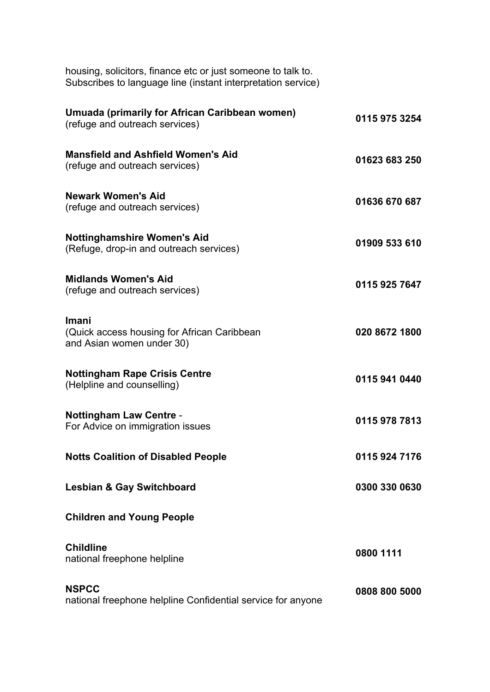| housing, solicitors, finance etc or just someone to talk to. |  |  |  |
|--------------------------------------------------------------|--|--|--|
| Subscribes to language line (instant interpretation service) |  |  |  |

| Umuada (primarily for African Caribbean women)<br>(refuge and outreach services)  | 0115 975 3254 |
|-----------------------------------------------------------------------------------|---------------|
| <b>Mansfield and Ashfield Women's Aid</b><br>(refuge and outreach services)       | 01623 683 250 |
| <b>Newark Women's Aid</b><br>(refuge and outreach services)                       | 01636 670 687 |
| <b>Nottinghamshire Women's Aid</b><br>(Refuge, drop-in and outreach services)     | 01909 533 610 |
| <b>Midlands Women's Aid</b><br>(refuge and outreach services)                     | 0115 925 7647 |
| Imani<br>(Quick access housing for African Caribbean<br>and Asian women under 30) | 020 8672 1800 |
| <b>Nottingham Rape Crisis Centre</b><br>(Helpline and counselling)                | 0115 941 0440 |
| <b>Nottingham Law Centre -</b><br>For Advice on immigration issues                | 0115 978 7813 |
| <b>Notts Coalition of Disabled People</b>                                         | 0115 924 7176 |
| <b>Lesbian &amp; Gay Switchboard</b>                                              | 0300 330 0630 |
| <b>Children and Young People</b>                                                  |               |
| <b>Childline</b><br>national freephone helpline                                   | 0800 1111     |
| <b>NSPCC</b><br>national freephone helpline Confidential service for anyone       | 0808 800 5000 |